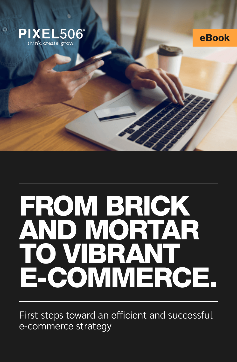

eBook

# FROM BRICK AND MORTAR TO VIBRANT E-COMMERCE.

First steps toward an efficient and successful e-commerce strategy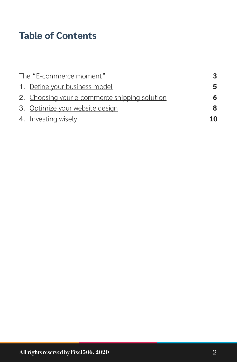# **Table of Contents**

| The "E-commerce moment" |                                               | 3 |
|-------------------------|-----------------------------------------------|---|
|                         | 1. Define your business model                 | 5 |
|                         | 2. Choosing your e-commerce shipping solution | 6 |
|                         | 3. Optimize your website design               | 8 |
|                         | 4. Investing wisely                           |   |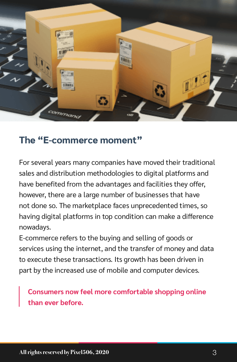

#### **The "E-commerce moment"**

For several years many companies have moved their traditional sales and distribution methodologies to digital platforms and have benefited from the advantages and facilities they offer, however, there are a large number of businesses that have not done so. The marketplace faces unprecedented times, so having digital platforms in top condition can make a difference nowadays.

E-commerce refers to the buying and selling of goods or services using the internet, and the transfer of money and data to execute these transactions. Its growth has been driven in part by the increased use of mobile and computer devices.

**Consumers now feel more comfortable shopping online than ever before.**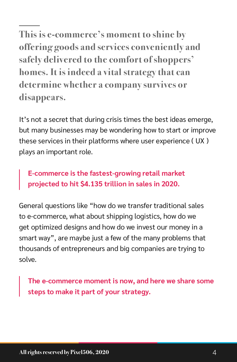**This is e-commerce's moment to shine by offering goods and services conveniently and safely delivered to the comfort of shoppers' homes. It is indeed a vital strategy that can determine whether a company survives or disappears.**

It's not a secret that during crisis times the best ideas emerge, but many businesses may be wondering how to start or improve these services in their platforms where user experience ( UX ) plays an important role.

**E-commerce is the fastest-growing retail market projected to hit \$4.135 trillion in sales in 2020.**

General questions like "how do we transfer traditional sales to e-commerce, what about shipping logistics, how do we get optimized designs and how do we invest our money in a smart way", are maybe just a few of the many problems that thousands of entrepreneurs and big companies are trying to solve.

**The e-commerce moment is now, and here we share some steps to make it part of your strategy.**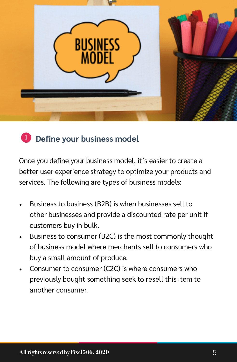

#### **1** Define your business model

Once you define your business model, it's easier to create a better user experience strategy to optimize your products and services. The following are types of business models:

- Business to business (B2B) is when businesses sell to other businesses and provide a discounted rate per unit if customers buy in bulk.
- Business to consumer (B2C) is the most commonly thought of business model where merchants sell to consumers who buy a small amount of produce.
- Consumer to consumer (C2C) is where consumers who previously bought something seek to resell this item to another consumer.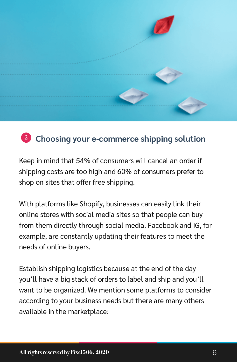

### <sup>2</sup> Choosing your e-commerce shipping solution

Keep in mind that 54% of consumers will cancel an order if shipping costs are too high and 60% of consumers prefer to shop on sites that offer free shipping.

With platforms like Shopify, businesses can easily link their online stores with social media sites so that people can buy from them directly through social media. Facebook and IG, for example, are constantly updating their features to meet the needs of online buyers.

Establish shipping logistics because at the end of the day you'll have a big stack of orders to label and ship and you'll want to be organized. We mention some platforms to consider according to your business needs but there are many others available in the marketplace: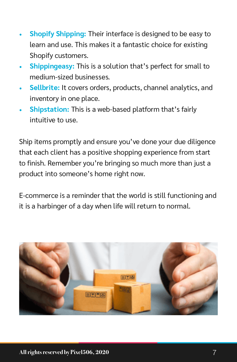- **Shopify Shipping:** Their interface is designed to be easy to learn and use. This makes it a fantastic choice for existing Shopify customers.
- **Shippingeasy:** This is a solution that's perfect for small to medium-sized businesses.
- **Sellbrite:** It covers orders, products, channel analytics, and inventory in one place.
- **Shipstation:** This is a web-based platform that's fairly intuitive to use.

Ship items promptly and ensure you've done your due diligence that each client has a positive shopping experience from start to finish. Remember you're bringing so much more than just a product into someone's home right now.

E-commerce is a reminder that the world is still functioning and it is a harbinger of a day when life will return to normal.

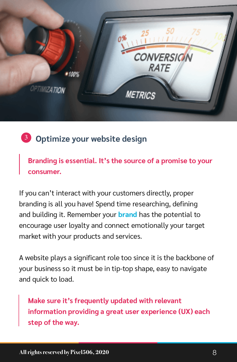

<sup>3</sup> Optimize your website design

**Branding is essential. It's the source of a promise to your consumer.**

If you can't interact with your customers directly, proper branding is all you have! Spend time researching, defining and building it. Remember your **brand** has the potential to encourage user loyalty and connect emotionally your target market with your products and services.

A website plays a significant role too since it is the backbone of your business so it must be in tip-top shape, easy to navigate and quick to load.

**Make sure it's frequently updated with relevant information providing a great user experience (UX) each step of the way.**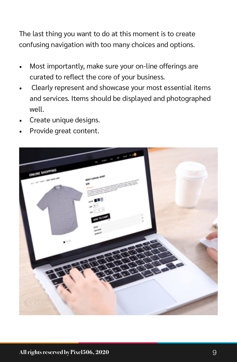The last thing you want to do at this moment is to create confusing navigation with too many choices and options.

- Most importantly, make sure your on-line offerings are curated to reflect the core of your business.
- Clearly represent and showcase your most essential items and services. Items should be displayed and photographed well.
- Create unique designs.
- Provide great content.

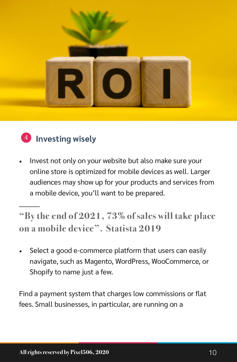

# **4** Investing wisely

• Invest not only on your website but also make sure your online store is optimized for mobile devices as well. Larger audiences may show up for your products and services from a mobile device, you'll want to be prepared.

**"By the end of 2021, 73% of sales will take place on a mobile device". Statista 2019**

Select a good e-commerce platform that users can easily navigate, such as Magento, WordPress, WooCommerce, or Shopify to name just a few.

Find a payment system that charges low commissions or flat fees. Small businesses, in particular, are running on a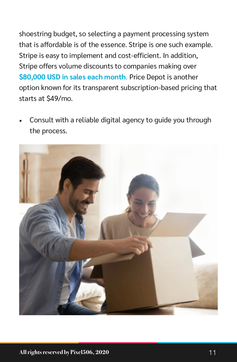shoestring budget, so selecting a payment processing system that is affordable is of the essence. Stripe is one such example. Stripe is easy to implement and cost-efficient. In addition, Stripe offers volume discounts to companies making over **\$80,000 USD in sales each month**. Price Depot is another option known for its transparent subscription-based pricing that starts at \$49/mo.

Consult with a reliable digital agency to guide you through the process.

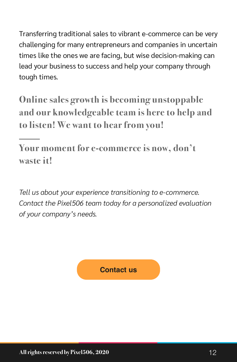Transferring traditional sales to vibrant e-commerce can be very challenging for many entrepreneurs and companies in uncertain times like the ones we are facing, but wise decision-making can lead your business to success and help your company through tough times.

**Online sales growth is becoming unstoppable and our knowledgeable team is here to help and to listen! We want to hear from you!**

**Your moment for e-commerce is now, don't waste it!**

*Tell us about your experience transitioning to e-commerce. Contact the Pixel506 team today for a personalized evaluation of your company's needs.* 

#### **Contact us**